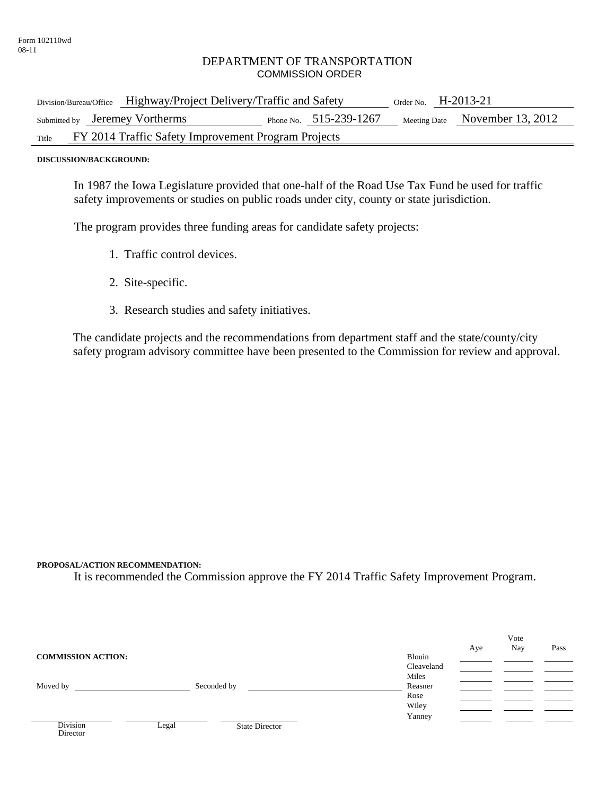## DEPARTMENT OF TRANSPORTATION COMMISSION ORDER

| Division/Bureau/Office Highway/Project Delivery/Traffic and Safety |  |  | Order No. $H-2013-21$    |  |                                |
|--------------------------------------------------------------------|--|--|--------------------------|--|--------------------------------|
| Submitted by Jeremey Vortherms                                     |  |  | Phone No. $515-239-1267$ |  | Meeting Date November 13, 2012 |
| FY 2014 Traffic Safety Improvement Program Projects<br>Title       |  |  |                          |  |                                |

**DISCUSSION/BACKGROUND:** 

In 1987 the Iowa Legislature provided that one-half of the Road Use Tax Fund be used for traffic safety improvements or studies on public roads under city, county or state jurisdiction.

The program provides three funding areas for candidate safety projects:

- 1. Traffic control devices.
- 2. Site-specific.
- 3. Research studies and safety initiatives.

The candidate projects and the recommendations from department staff and the state/county/city safety program advisory committee have been presented to the Commission for review and approval.

## **PROPOSAL/ACTION RECOMMENDATION:**

Director

It is recommended the Commission approve the FY 2014 Traffic Safety Improvement Program.

|                           |       |                       |            | Vote |     |      |
|---------------------------|-------|-----------------------|------------|------|-----|------|
|                           |       |                       |            | Aye  | Nay | Pass |
| <b>COMMISSION ACTION:</b> |       |                       | Blouin     |      |     |      |
|                           |       |                       | Cleaveland |      |     |      |
|                           |       |                       | Miles      |      |     |      |
| Moved by                  |       | Seconded by           | Reasner    |      |     |      |
|                           |       |                       | Rose       |      |     |      |
|                           |       |                       | Wiley      |      |     |      |
|                           |       |                       | Yanney     |      |     |      |
| <b>Division</b>           | Legal | <b>State Director</b> |            |      |     |      |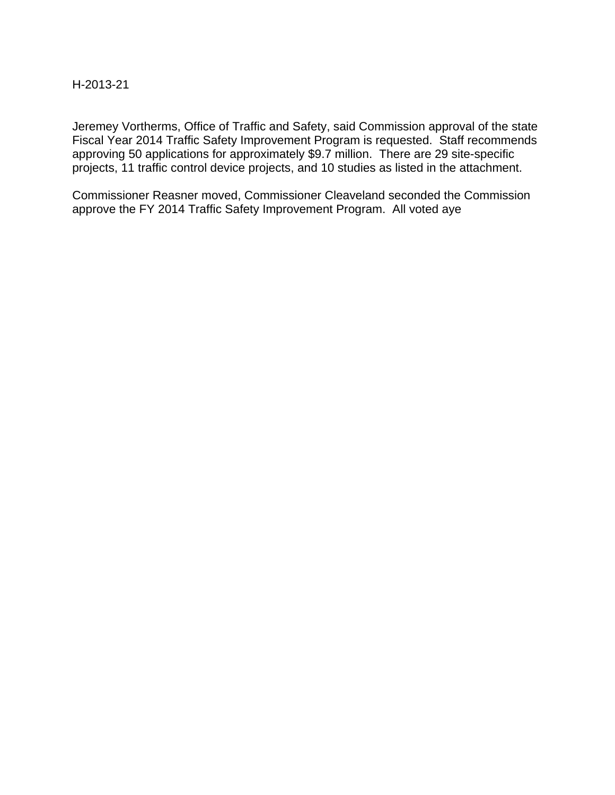## H-2013-21

Jeremey Vortherms, Office of Traffic and Safety, said Commission approval of the state Fiscal Year 2014 Traffic Safety Improvement Program is requested. Staff recommends approving 50 applications for approximately \$9.7 million. There are 29 site-specific projects, 11 traffic control device projects, and 10 studies as listed in the attachment.

Commissioner Reasner moved, Commissioner Cleaveland seconded the Commission approve the FY 2014 Traffic Safety Improvement Program. All voted aye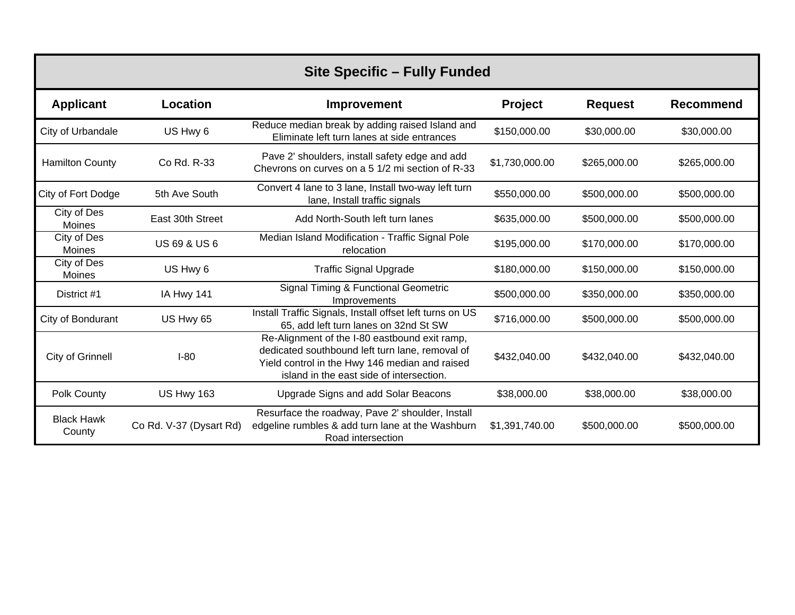| <b>Site Specific - Fully Funded</b> |                         |                                                                                                                                                                                                |                |                |                  |
|-------------------------------------|-------------------------|------------------------------------------------------------------------------------------------------------------------------------------------------------------------------------------------|----------------|----------------|------------------|
| <b>Applicant</b>                    | Location                | Improvement                                                                                                                                                                                    | Project        | <b>Request</b> | <b>Recommend</b> |
| City of Urbandale                   | US Hwy 6                | Reduce median break by adding raised Island and<br>Eliminate left turn lanes at side entrances                                                                                                 | \$150,000.00   | \$30,000.00    | \$30,000.00      |
| <b>Hamilton County</b>              | Co Rd. R-33             | Pave 2' shoulders, install safety edge and add<br>Chevrons on curves on a 5 1/2 mi section of R-33                                                                                             | \$1,730,000.00 | \$265,000.00   | \$265,000.00     |
| City of Fort Dodge                  | 5th Ave South           | Convert 4 lane to 3 lane, Install two-way left turn<br>lane, Install traffic signals                                                                                                           | \$550,000.00   | \$500,000.00   | \$500,000.00     |
| City of Des<br>Moines               | East 30th Street        | Add North-South left turn lanes                                                                                                                                                                | \$635,000.00   | \$500,000.00   | \$500,000.00     |
| City of Des<br>Moines               | <b>US 69 &amp; US 6</b> | Median Island Modification - Traffic Signal Pole<br>relocation                                                                                                                                 | \$195,000.00   | \$170,000.00   | \$170,000.00     |
| City of Des<br>Moines               | US Hwy 6                | <b>Traffic Signal Upgrade</b>                                                                                                                                                                  | \$180,000.00   | \$150,000.00   | \$150,000.00     |
| District #1                         | IA Hwy 141              | Signal Timing & Functional Geometric<br>Improvements                                                                                                                                           | \$500,000.00   | \$350,000.00   | \$350,000.00     |
| City of Bondurant                   | US Hwy 65               | Install Traffic Signals, Install offset left turns on US<br>65, add left turn lanes on 32nd St SW                                                                                              | \$716,000.00   | \$500,000.00   | \$500,000.00     |
| City of Grinnell                    | $I-80$                  | Re-Alignment of the I-80 eastbound exit ramp,<br>dedicated southbound left turn lane, removal of<br>Yield control in the Hwy 146 median and raised<br>island in the east side of intersection. | \$432,040.00   | \$432,040.00   | \$432,040.00     |
| Polk County                         | <b>US Hwy 163</b>       | Upgrade Signs and add Solar Beacons                                                                                                                                                            | \$38,000.00    | \$38,000.00    | \$38,000.00      |
| <b>Black Hawk</b><br>County         | Co Rd. V-37 (Dysart Rd) | Resurface the roadway, Pave 2' shoulder, Install<br>edgeline rumbles & add turn lane at the Washburn<br>Road intersection                                                                      | \$1,391,740.00 | \$500,000.00   | \$500,000.00     |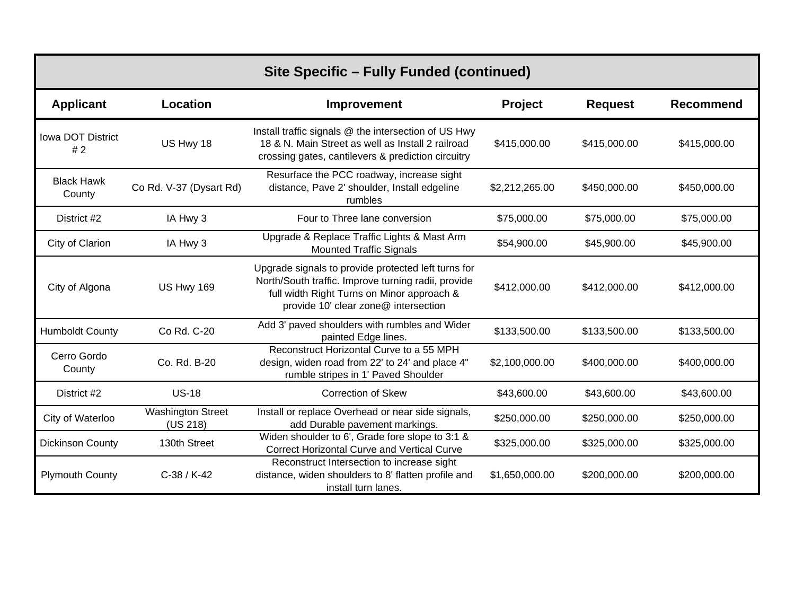| Site Specific - Fully Funded (continued) |                                      |                                                                                                                                                                                                  |                |                |                  |
|------------------------------------------|--------------------------------------|--------------------------------------------------------------------------------------------------------------------------------------------------------------------------------------------------|----------------|----------------|------------------|
| <b>Applicant</b>                         | Location                             | Improvement                                                                                                                                                                                      | <b>Project</b> | <b>Request</b> | <b>Recommend</b> |
| <b>Iowa DOT District</b><br>#2           | US Hwy 18                            | Install traffic signals @ the intersection of US Hwy<br>18 & N. Main Street as well as Install 2 railroad<br>crossing gates, cantilevers & prediction circuitry                                  | \$415,000.00   | \$415,000.00   | \$415,000.00     |
| <b>Black Hawk</b><br>County              | Co Rd. V-37 (Dysart Rd)              | Resurface the PCC roadway, increase sight<br>distance, Pave 2' shoulder, Install edgeline<br>rumbles                                                                                             | \$2,212,265.00 | \$450,000.00   | \$450,000.00     |
| District #2                              | IA Hwy 3                             | Four to Three lane conversion                                                                                                                                                                    | \$75,000.00    | \$75,000.00    | \$75,000.00      |
| City of Clarion                          | IA Hwy 3                             | Upgrade & Replace Traffic Lights & Mast Arm<br><b>Mounted Traffic Signals</b>                                                                                                                    | \$54,900.00    | \$45,900.00    | \$45,900.00      |
| City of Algona                           | <b>US Hwy 169</b>                    | Upgrade signals to provide protected left turns for<br>North/South traffic. Improve turning radii, provide<br>full width Right Turns on Minor approach &<br>provide 10' clear zone@ intersection | \$412,000.00   | \$412,000.00   | \$412,000.00     |
| <b>Humboldt County</b>                   | Co Rd. C-20                          | Add 3' paved shoulders with rumbles and Wider<br>painted Edge lines.                                                                                                                             | \$133,500.00   | \$133,500.00   | \$133,500.00     |
| Cerro Gordo<br>County                    | Co. Rd. B-20                         | Reconstruct Horizontal Curve to a 55 MPH<br>design, widen road from 22' to 24' and place 4"<br>rumble stripes in 1' Paved Shoulder                                                               | \$2,100,000.00 | \$400,000.00   | \$400,000.00     |
| District #2                              | $US-18$                              | <b>Correction of Skew</b>                                                                                                                                                                        | \$43,600.00    | \$43,600.00    | \$43,600.00      |
| City of Waterloo                         | <b>Washington Street</b><br>(US 218) | Install or replace Overhead or near side signals,<br>add Durable pavement markings.                                                                                                              | \$250,000.00   | \$250,000.00   | \$250,000.00     |
| <b>Dickinson County</b>                  | 130th Street                         | Widen shoulder to 6', Grade fore slope to 3:1 &<br><b>Correct Horizontal Curve and Vertical Curve</b>                                                                                            | \$325,000.00   | \$325,000.00   | \$325,000.00     |
| <b>Plymouth County</b>                   | $C-38 / K-42$                        | Reconstruct Intersection to increase sight<br>distance, widen shoulders to 8' flatten profile and<br>install turn lanes.                                                                         | \$1,650,000.00 | \$200,000.00   | \$200,000.00     |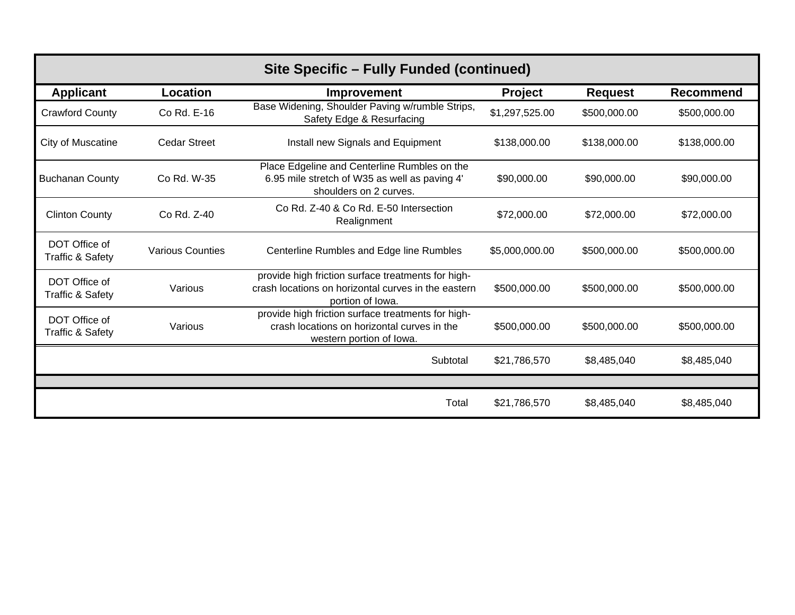| Site Specific – Fully Funded (continued)     |                         |                                                                                                                               |                |                |                  |
|----------------------------------------------|-------------------------|-------------------------------------------------------------------------------------------------------------------------------|----------------|----------------|------------------|
| <b>Applicant</b>                             | <b>Location</b>         | Improvement                                                                                                                   | <b>Project</b> | <b>Request</b> | <b>Recommend</b> |
| <b>Crawford County</b>                       | Co Rd. E-16             | Base Widening, Shoulder Paving w/rumble Strips,<br>Safety Edge & Resurfacing                                                  | \$1,297,525.00 | \$500,000.00   | \$500,000.00     |
| <b>City of Muscatine</b>                     | <b>Cedar Street</b>     | Install new Signals and Equipment                                                                                             | \$138,000.00   | \$138,000.00   | \$138,000.00     |
| <b>Buchanan County</b>                       | Co Rd. W-35             | Place Edgeline and Centerline Rumbles on the<br>6.95 mile stretch of W35 as well as paving 4'<br>shoulders on 2 curves.       | \$90,000.00    | \$90,000.00    | \$90,000.00      |
| <b>Clinton County</b>                        | Co Rd. Z-40             | Co Rd. Z-40 & Co Rd. E-50 Intersection<br>Realignment                                                                         | \$72,000.00    | \$72,000.00    | \$72,000.00      |
| DOT Office of<br><b>Traffic &amp; Safety</b> | <b>Various Counties</b> | Centerline Rumbles and Edge line Rumbles                                                                                      | \$5,000,000.00 | \$500,000.00   | \$500,000.00     |
| DOT Office of<br><b>Traffic &amp; Safety</b> | Various                 | provide high friction surface treatments for high-<br>crash locations on horizontal curves in the eastern<br>portion of lowa. | \$500,000.00   | \$500,000.00   | \$500,000.00     |
| DOT Office of<br><b>Traffic &amp; Safety</b> | Various                 | provide high friction surface treatments for high-<br>crash locations on horizontal curves in the<br>western portion of lowa. | \$500,000.00   | \$500,000.00   | \$500,000.00     |
|                                              |                         | Subtotal                                                                                                                      | \$21,786,570   | \$8,485,040    | \$8,485,040      |
|                                              |                         |                                                                                                                               |                |                |                  |
|                                              |                         | Total                                                                                                                         | \$21,786,570   | \$8,485,040    | \$8,485,040      |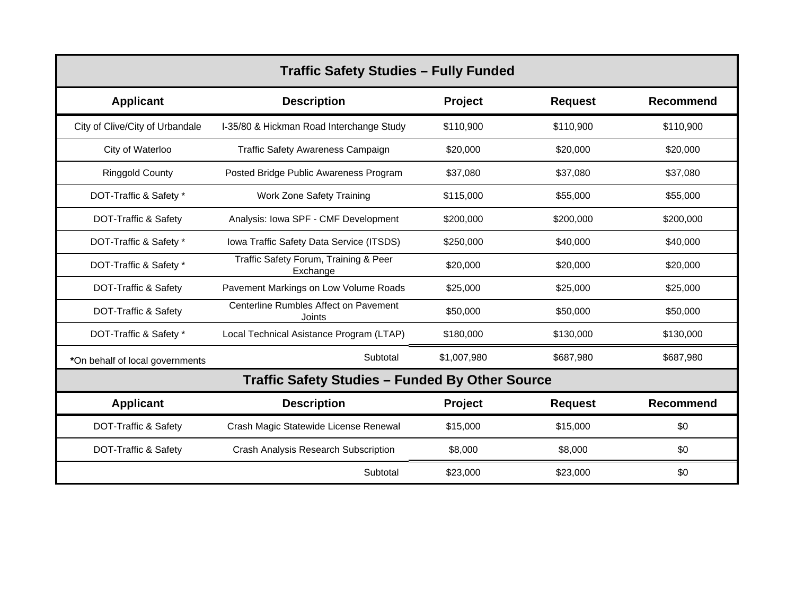| <b>Traffic Safety Studies - Fully Funded</b> |                                                        |                |                |                  |  |  |
|----------------------------------------------|--------------------------------------------------------|----------------|----------------|------------------|--|--|
| <b>Applicant</b>                             | <b>Description</b>                                     | Project        | <b>Request</b> | Recommend        |  |  |
| City of Clive/City of Urbandale              | I-35/80 & Hickman Road Interchange Study               | \$110,900      | \$110,900      | \$110,900        |  |  |
| City of Waterloo                             | <b>Traffic Safety Awareness Campaign</b>               | \$20,000       | \$20,000       | \$20,000         |  |  |
| <b>Ringgold County</b>                       | Posted Bridge Public Awareness Program                 | \$37,080       | \$37,080       | \$37,080         |  |  |
| DOT-Traffic & Safety *                       | Work Zone Safety Training                              | \$115,000      | \$55,000       | \$55,000         |  |  |
| DOT-Traffic & Safety                         | Analysis: Iowa SPF - CMF Development                   | \$200,000      | \$200,000      | \$200,000        |  |  |
| DOT-Traffic & Safety *                       | Iowa Traffic Safety Data Service (ITSDS)               | \$250,000      | \$40,000       | \$40,000         |  |  |
| DOT-Traffic & Safety *                       | Traffic Safety Forum, Training & Peer<br>Exchange      | \$20,000       | \$20,000       | \$20,000         |  |  |
| DOT-Traffic & Safety                         | Pavement Markings on Low Volume Roads                  | \$25,000       | \$25,000       | \$25,000         |  |  |
| DOT-Traffic & Safety                         | Centerline Rumbles Affect on Pavement<br>Joints        | \$50,000       | \$50,000       | \$50,000         |  |  |
| DOT-Traffic & Safety *                       | Local Technical Asistance Program (LTAP)               | \$180,000      | \$130,000      | \$130,000        |  |  |
| *On behalf of local governments              | Subtotal                                               | \$1,007,980    | \$687,980      | \$687,980        |  |  |
|                                              | <b>Traffic Safety Studies - Funded By Other Source</b> |                |                |                  |  |  |
| <b>Applicant</b>                             | <b>Description</b>                                     | <b>Project</b> | <b>Request</b> | <b>Recommend</b> |  |  |
| DOT-Traffic & Safety                         | Crash Magic Statewide License Renewal                  | \$15,000       | \$15,000       | \$0              |  |  |
| DOT-Traffic & Safety                         | Crash Analysis Research Subscription                   | \$8,000        | \$8,000        | \$0              |  |  |
|                                              | Subtotal                                               | \$23,000       | \$23,000       | \$0              |  |  |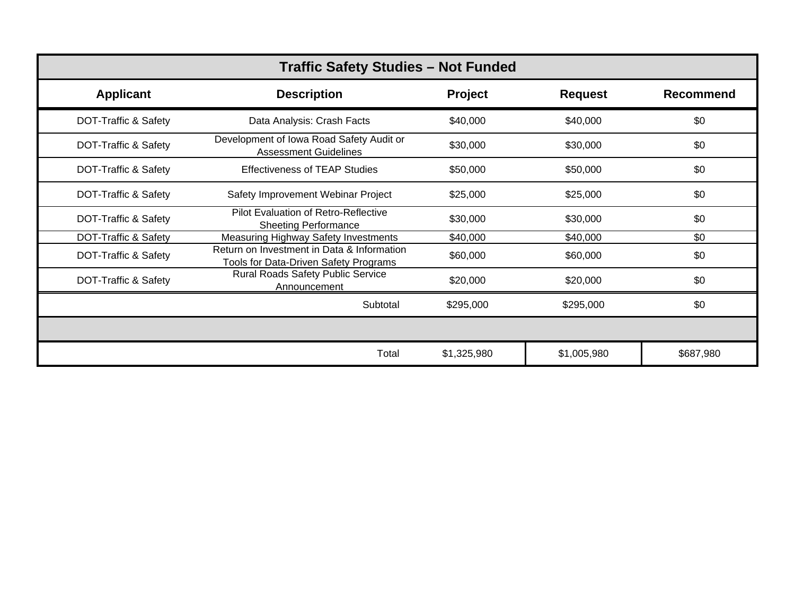| <b>Traffic Safety Studies - Not Funded</b> |                                                                                     |             |                |                  |  |  |
|--------------------------------------------|-------------------------------------------------------------------------------------|-------------|----------------|------------------|--|--|
| <b>Applicant</b>                           | <b>Description</b>                                                                  | Project     | <b>Request</b> | <b>Recommend</b> |  |  |
| DOT-Traffic & Safety                       | Data Analysis: Crash Facts                                                          | \$40,000    | \$40,000       | \$0              |  |  |
| DOT-Traffic & Safety                       | Development of Iowa Road Safety Audit or<br><b>Assessment Guidelines</b>            | \$30,000    | \$30,000       | \$0              |  |  |
| DOT-Traffic & Safety                       | <b>Effectiveness of TEAP Studies</b>                                                | \$50,000    | \$50,000       | \$0              |  |  |
| DOT-Traffic & Safety                       | Safety Improvement Webinar Project                                                  | \$25,000    | \$25,000       | \$0              |  |  |
| DOT-Traffic & Safety                       | Pilot Evaluation of Retro-Reflective<br><b>Sheeting Performance</b>                 | \$30,000    | \$30,000       | \$0              |  |  |
| DOT-Traffic & Safety                       | Measuring Highway Safety Investments                                                | \$40,000    | \$40,000       | \$0              |  |  |
| DOT-Traffic & Safety                       | Return on Investment in Data & Information<br>Tools for Data-Driven Safety Programs | \$60,000    | \$60,000       | \$0              |  |  |
| DOT-Traffic & Safety                       | Rural Roads Safety Public Service<br>Announcement                                   | \$20,000    | \$20,000       | \$0              |  |  |
|                                            | Subtotal                                                                            | \$295,000   | \$295,000      | \$0              |  |  |
|                                            |                                                                                     |             |                |                  |  |  |
|                                            | Total                                                                               | \$1,325,980 | \$1,005,980    | \$687,980        |  |  |